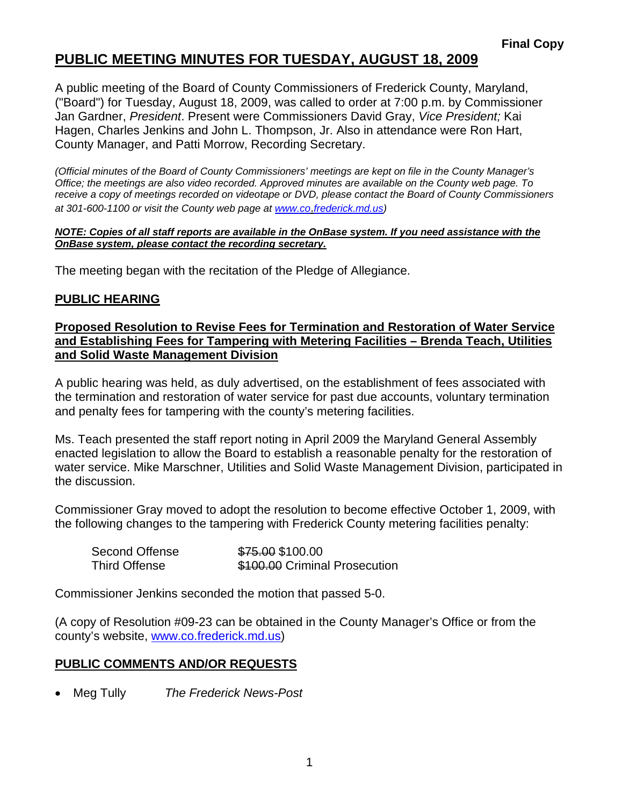## **PUBLIC MEETING MINUTES FOR TUESDAY, AUGUST 18, 2009**

A public meeting of the Board of County Commissioners of Frederick County, Maryland, ("Board") for Tuesday, August 18, 2009, was called to order at 7:00 p.m. by Commissioner Jan Gardner, *President*. Present were Commissioners David Gray, *Vice President;* Kai Hagen, Charles Jenkins and John L. Thompson, Jr. Also in attendance were Ron Hart, County Manager, and Patti Morrow, Recording Secretary.

*(Official minutes of the Board of County Commissioners' meetings are kept on file in the County Manager's Office; the meetings are also video recorded. Approved minutes are available on the County web page. To receive a copy of meetings recorded on videotape or DVD, please contact the Board of County Commissioners at 301-600-1100 or visit the County web page at [www.co](http://www.co/)*.*frederick.md.us)* 

#### *NOTE: Copies of all staff reports are available in the OnBase system. If you need assistance with the OnBase system, please contact the recording secretary.*

The meeting began with the recitation of the Pledge of Allegiance.

### **PUBLIC HEARING**

#### **Proposed Resolution to Revise Fees for Termination and Restoration of Water Service and Establishing Fees for Tampering with Metering Facilities – Brenda Teach, Utilities and Solid Waste Management Division**

A public hearing was held, as duly advertised, on the establishment of fees associated with the termination and restoration of water service for past due accounts, voluntary termination and penalty fees for tampering with the county's metering facilities.

Ms. Teach presented the staff report noting in April 2009 the Maryland General Assembly enacted legislation to allow the Board to establish a reasonable penalty for the restoration of water service. Mike Marschner, Utilities and Solid Waste Management Division, participated in the discussion.

Commissioner Gray moved to adopt the resolution to become effective October 1, 2009, with the following changes to the tampering with Frederick County metering facilities penalty:

| Second Offense       | \$75.00 \$100.00              |
|----------------------|-------------------------------|
| <b>Third Offense</b> | \$100.00 Criminal Prosecution |

Commissioner Jenkins seconded the motion that passed 5-0.

(A copy of Resolution #09-23 can be obtained in the County Manager's Office or from the county's website, <www.co.frederick.md.us>)

### **PUBLIC COMMENTS AND/OR REQUESTS**

• Meg Tully *The Frederick News-Post*